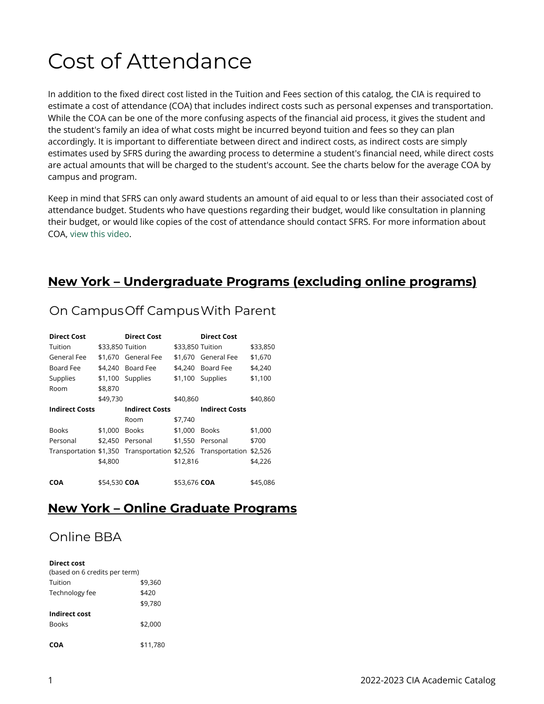# Cost of Attendance

In addition to the fixed direct cost listed in the Tuition and Fees section of this catalog, the CIA is required to estimate a cost of attendance (COA) that includes indirect costs such as personal expenses and transportation. While the COA can be one of the more confusing aspects of the financial aid process, it gives the student and the student's family an idea of what costs might be incurred beyond tuition and fees so they can plan accordingly. It is important to differentiate between direct and indirect costs, as indirect costs are simply estimates used by SFRS during the awarding process to determine a student's financial need, while direct costs are actual amounts that will be charged to the student's account. See the charts below for the average COA by campus and program.

Keep in mind that SFRS can only award students an amount of aid equal to or less than their associated cost of attendance budget. Students who have questions regarding their budget, would like consultation in planning their budget, or would like copies of the cost of attendance should contact SFRS. For more information about COA, [view this video.](http://ciachef.financialaidtv.com/#playlist-14907:video-7)

## **New York – Undergraduate Programs (excluding online programs)**

## On Campus Off Campus With Parent

| <b>Direct Cost</b>    |                  | <b>Direct Cost</b>    |                  | <b>Direct Cost</b>                                                   |          |
|-----------------------|------------------|-----------------------|------------------|----------------------------------------------------------------------|----------|
| Tuition               | \$33,850 Tuition |                       | \$33,850 Tuition |                                                                      | \$33,850 |
| General Fee           |                  | \$1.670 General Fee   |                  | \$1.670 General Fee                                                  | \$1,670  |
| Board Fee             | \$4.240          | Board Fee             |                  | \$4.240 Board Fee                                                    | \$4,240  |
| Supplies              | \$1,100          | Supplies              |                  | \$1,100 Supplies                                                     | \$1,100  |
| Room                  | \$8,870          |                       |                  |                                                                      |          |
|                       | \$49,730         |                       | \$40.860         |                                                                      | \$40,860 |
| <b>Indirect Costs</b> |                  | <b>Indirect Costs</b> |                  | <b>Indirect Costs</b>                                                |          |
|                       |                  | Room                  | \$7,740          |                                                                      |          |
| <b>Books</b>          | \$1,000          | Books                 | \$1,000          | <b>Books</b>                                                         | \$1,000  |
| Personal              | \$2,450          | Personal              | \$1,550          | Personal                                                             | \$700    |
|                       |                  |                       |                  | Transportation \$1,350 Transportation \$2,526 Transportation \$2,526 |          |
|                       | \$4,800          |                       | \$12,816         |                                                                      | \$4,226  |
|                       |                  |                       |                  |                                                                      |          |
| <b>COA</b>            | \$54.530 COA     |                       | \$53.676 COA     |                                                                      | \$45.086 |

#### **New York – Online Graduate Programs**

# Online BBA

#### **Direct cost**

| (based on 6 credits per term) |          |
|-------------------------------|----------|
| Tuition                       | \$9,360  |
| Technology fee                | \$420    |
|                               | \$9,780  |
| Indirect cost                 |          |
| <b>Books</b>                  | \$2,000  |
|                               |          |
| COA                           | \$11,780 |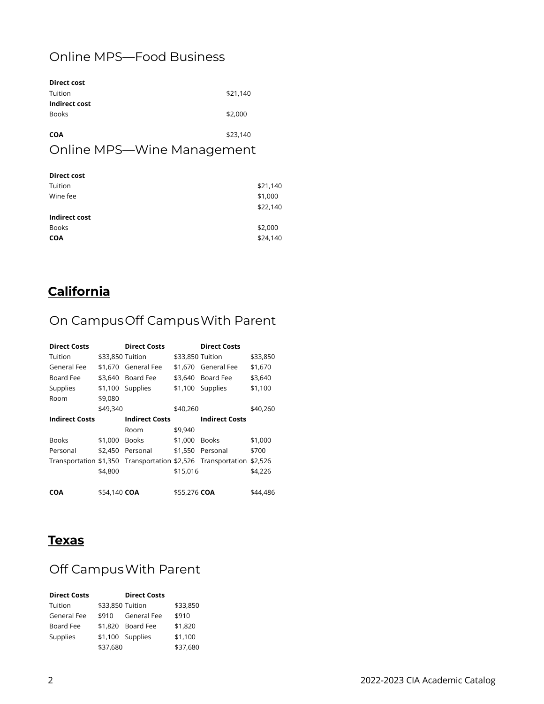# Online MPS—Food Business

| <b>Direct cost</b> |          |
|--------------------|----------|
| Tuition            | \$21,140 |
| Indirect cost      |          |
| <b>Books</b>       | \$2,000  |
|                    |          |
| <b>COA</b>         | \$23,140 |

### Online MPS—Wine Management

| <b>Direct cost</b> |          |
|--------------------|----------|
| Tuition            | \$21,140 |
| Wine fee           | \$1,000  |
|                    | \$22,140 |
| Indirect cost      |          |
| <b>Books</b>       | \$2,000  |
| <b>COA</b>         | \$24,140 |
|                    |          |

# **California**

# On Campus Off Campus With Parent

| <b>Direct Costs</b>   |                  | <b>Direct Costs</b>   |                  | <b>Direct Costs</b>                                          |          |
|-----------------------|------------------|-----------------------|------------------|--------------------------------------------------------------|----------|
| Tuition               | \$33,850 Tuition |                       | \$33,850 Tuition |                                                              | \$33,850 |
| General Fee           |                  | \$1.670 General Fee   |                  | \$1.670 General Fee                                          | \$1,670  |
| Board Fee             |                  | \$3.640 Board Fee     |                  | \$3,640 Board Fee                                            | \$3,640  |
| Supplies              |                  | \$1,100 Supplies      |                  | \$1,100 Supplies                                             | \$1,100  |
| Room                  | \$9,080          |                       |                  |                                                              |          |
|                       | \$49,340         |                       | \$40,260         |                                                              | \$40,260 |
| <b>Indirect Costs</b> |                  | <b>Indirect Costs</b> |                  | <b>Indirect Costs</b>                                        |          |
|                       |                  | Room                  | \$9,940          |                                                              |          |
| <b>Books</b>          | \$1,000          | <b>Books</b>          | \$1,000          | <b>Books</b>                                                 | \$1,000  |
| Personal              |                  | \$2.450 Personal      |                  | \$1,550 Personal                                             | \$700    |
|                       |                  |                       |                  | Transportation \$1,350 Transportation \$2,526 Transportation | \$2,526  |
|                       | \$4,800          |                       | \$15,016         |                                                              | \$4,226  |
|                       |                  |                       |                  |                                                              |          |
| <b>COA</b>            | \$54,140 COA     |                       | \$55,276 COA     |                                                              | \$44,486 |

#### **Texas**

# Off Campus With Parent

| <b>Direct Costs</b> |                  | <b>Direct Costs</b> |          |
|---------------------|------------------|---------------------|----------|
| Tuition             | \$33,850 Tuition |                     | \$33,850 |
| General Fee         | \$910            | General Fee         | \$910    |
| Board Fee           |                  | \$1,820 Board Fee   | \$1,820  |
| Supplies            |                  | \$1,100 Supplies    | \$1,100  |
|                     | \$37.680         |                     | \$37.680 |